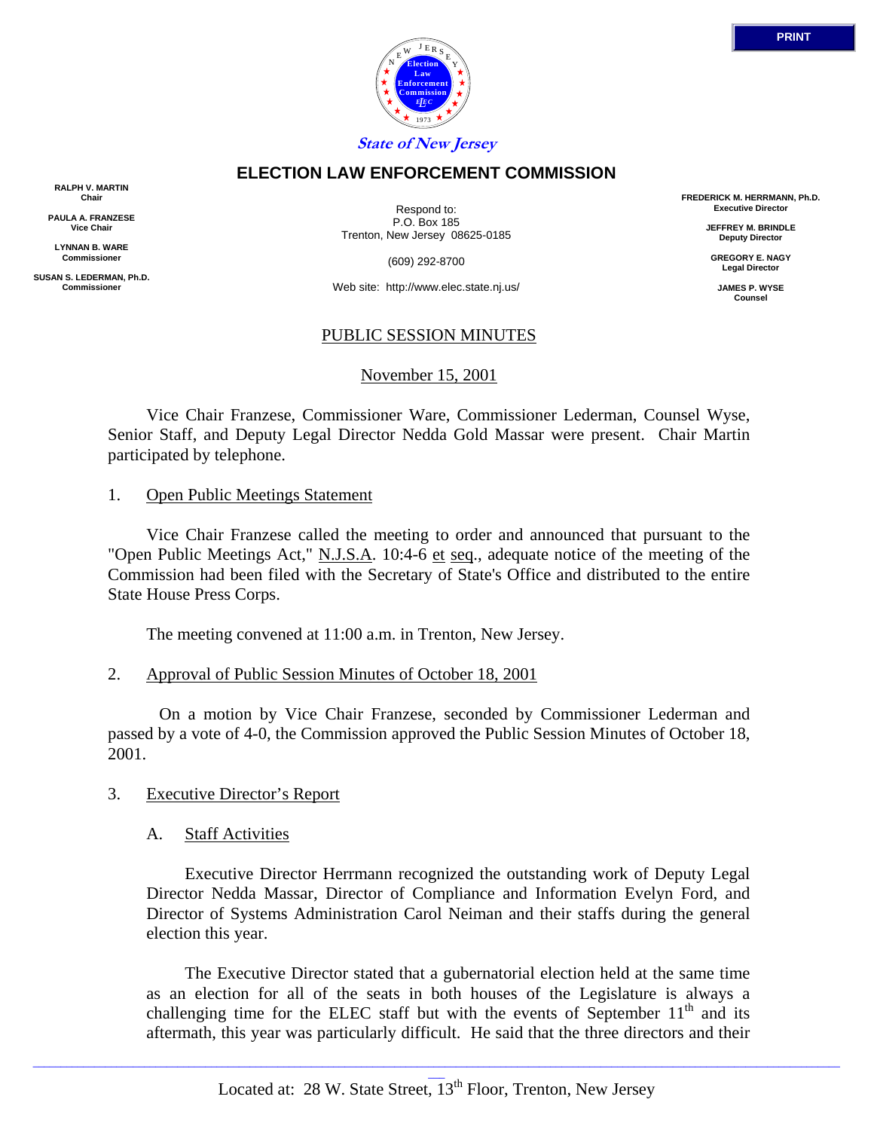

### **ELECTION LAW ENFORCEMENT COMMISSION**

**RALPH V. MARTIN Chair**

**PAULA A. FRANZESE Vice Chair**

**LYNNAN B. WARE Commissioner**

**SUSAN S. LEDERMAN, Ph.D. Commissioner**

Respond to: P.O. Box 185 Trenton, New Jersey 08625-0185

(609) 292-8700

Web site: http://www.elec.state.nj.us/

#### PUBLIC SESSION MINUTES

#### November 15, 2001

 Vice Chair Franzese, Commissioner Ware, Commissioner Lederman, Counsel Wyse, Senior Staff, and Deputy Legal Director Nedda Gold Massar were present. Chair Martin participated by telephone.

#### 1. Open Public Meetings Statement

 Vice Chair Franzese called the meeting to order and announced that pursuant to the "Open Public Meetings Act," N.J.S.A. 10:4-6 et seq., adequate notice of the meeting of the Commission had been filed with the Secretary of State's Office and distributed to the entire State House Press Corps.

The meeting convened at 11:00 a.m. in Trenton, New Jersey.

## 2. Approval of Public Session Minutes of October 18, 2001

 On a motion by Vice Chair Franzese, seconded by Commissioner Lederman and passed by a vote of 4-0, the Commission approved the Public Session Minutes of October 18, 2001.

#### 3. Executive Director's Report

#### A. Staff Activities

 Executive Director Herrmann recognized the outstanding work of Deputy Legal Director Nedda Massar, Director of Compliance and Information Evelyn Ford, and Director of Systems Administration Carol Neiman and their staffs during the general election this year.

 The Executive Director stated that a gubernatorial election held at the same time as an election for all of the seats in both houses of the Legislature is always a challenging time for the ELEC staff but with the events of September  $11<sup>th</sup>$  and its aftermath, this year was particularly difficult. He said that the three directors and their

**FREDERICK M. HERRMANN, Ph.D. Executive Director**

> **JEFFREY M. BRINDLE Deputy Director**

**GREGORY E. NAGY Legal Director**

**JAMES P. WYSE Counsel**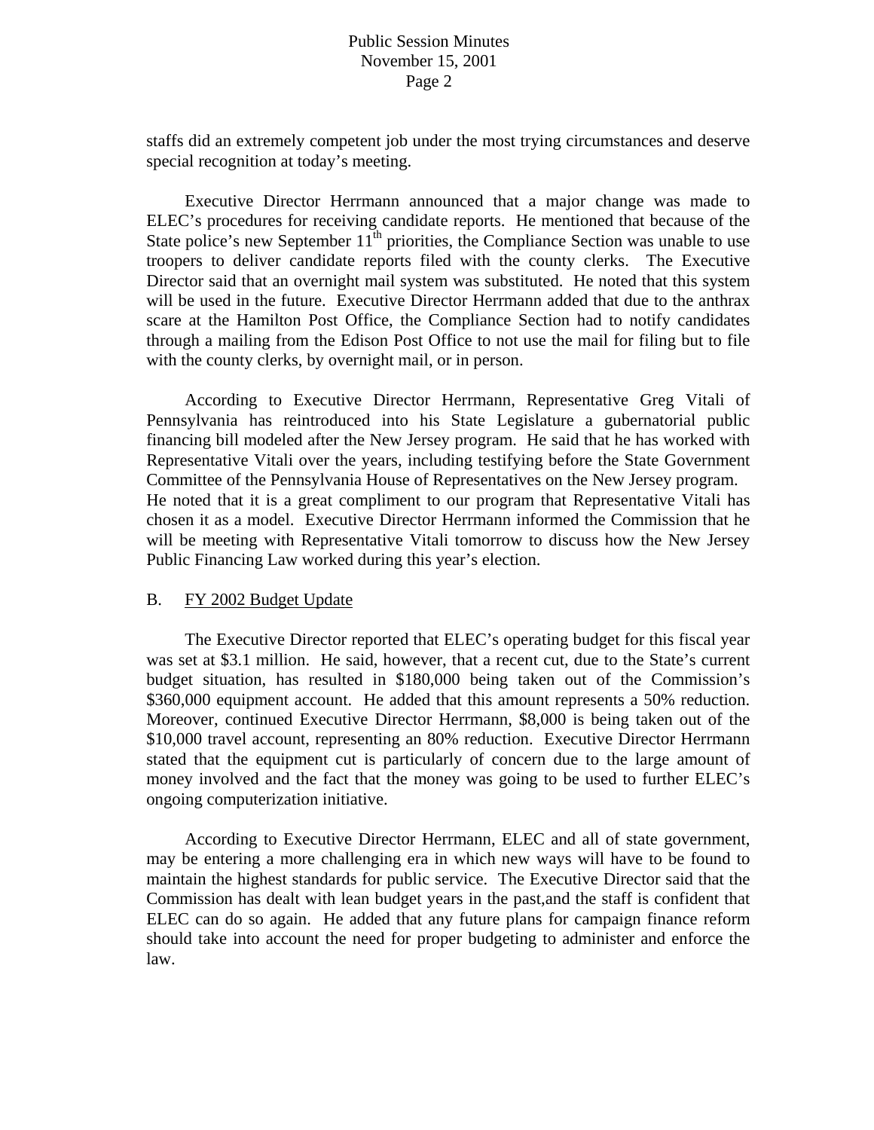staffs did an extremely competent job under the most trying circumstances and deserve special recognition at today's meeting.

 Executive Director Herrmann announced that a major change was made to ELEC's procedures for receiving candidate reports. He mentioned that because of the State police's new September 11<sup>th</sup> priorities, the Compliance Section was unable to use troopers to deliver candidate reports filed with the county clerks. The Executive Director said that an overnight mail system was substituted. He noted that this system will be used in the future. Executive Director Herrmann added that due to the anthrax scare at the Hamilton Post Office, the Compliance Section had to notify candidates through a mailing from the Edison Post Office to not use the mail for filing but to file with the county clerks, by overnight mail, or in person.

 According to Executive Director Herrmann, Representative Greg Vitali of Pennsylvania has reintroduced into his State Legislature a gubernatorial public financing bill modeled after the New Jersey program. He said that he has worked with Representative Vitali over the years, including testifying before the State Government Committee of the Pennsylvania House of Representatives on the New Jersey program. He noted that it is a great compliment to our program that Representative Vitali has chosen it as a model. Executive Director Herrmann informed the Commission that he will be meeting with Representative Vitali tomorrow to discuss how the New Jersey Public Financing Law worked during this year's election.

#### B. FY 2002 Budget Update

 The Executive Director reported that ELEC's operating budget for this fiscal year was set at \$3.1 million. He said, however, that a recent cut, due to the State's current budget situation, has resulted in \$180,000 being taken out of the Commission's \$360,000 equipment account. He added that this amount represents a 50% reduction. Moreover, continued Executive Director Herrmann, \$8,000 is being taken out of the \$10,000 travel account, representing an 80% reduction. Executive Director Herrmann stated that the equipment cut is particularly of concern due to the large amount of money involved and the fact that the money was going to be used to further ELEC's ongoing computerization initiative.

 According to Executive Director Herrmann, ELEC and all of state government, may be entering a more challenging era in which new ways will have to be found to maintain the highest standards for public service. The Executive Director said that the Commission has dealt with lean budget years in the past,and the staff is confident that ELEC can do so again. He added that any future plans for campaign finance reform should take into account the need for proper budgeting to administer and enforce the law.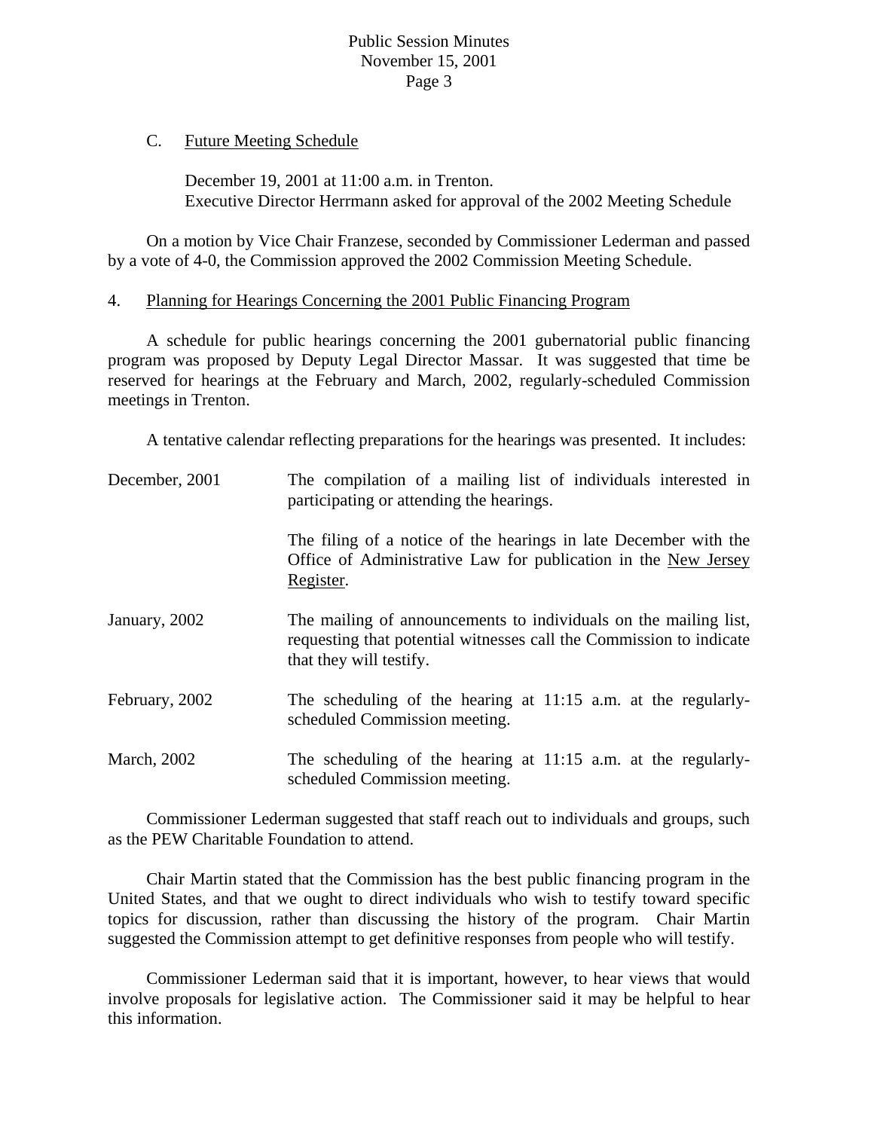## C. Future Meeting Schedule

 December 19, 2001 at 11:00 a.m. in Trenton. Executive Director Herrmann asked for approval of the 2002 Meeting Schedule

 On a motion by Vice Chair Franzese, seconded by Commissioner Lederman and passed by a vote of 4-0, the Commission approved the 2002 Commission Meeting Schedule.

## 4. Planning for Hearings Concerning the 2001 Public Financing Program

 A schedule for public hearings concerning the 2001 gubernatorial public financing program was proposed by Deputy Legal Director Massar. It was suggested that time be reserved for hearings at the February and March, 2002, regularly-scheduled Commission meetings in Trenton.

A tentative calendar reflecting preparations for the hearings was presented. It includes:

| December, 2001      | The compilation of a mailing list of individuals interested in<br>participating or attending the hearings.                                                         |
|---------------------|--------------------------------------------------------------------------------------------------------------------------------------------------------------------|
|                     | The filing of a notice of the hearings in late December with the<br>Office of Administrative Law for publication in the New Jersey<br>Register.                    |
| January, 2002       | The mailing of announcements to individuals on the mailing list,<br>requesting that potential witnesses call the Commission to indicate<br>that they will testify. |
| February, 2002      | The scheduling of the hearing at 11:15 a.m. at the regularly-<br>scheduled Commission meeting.                                                                     |
| <b>March</b> , 2002 | The scheduling of the hearing at 11:15 a.m. at the regularly-<br>scheduled Commission meeting.                                                                     |

 Commissioner Lederman suggested that staff reach out to individuals and groups, such as the PEW Charitable Foundation to attend.

 Chair Martin stated that the Commission has the best public financing program in the United States, and that we ought to direct individuals who wish to testify toward specific topics for discussion, rather than discussing the history of the program. Chair Martin suggested the Commission attempt to get definitive responses from people who will testify.

 Commissioner Lederman said that it is important, however, to hear views that would involve proposals for legislative action. The Commissioner said it may be helpful to hear this information.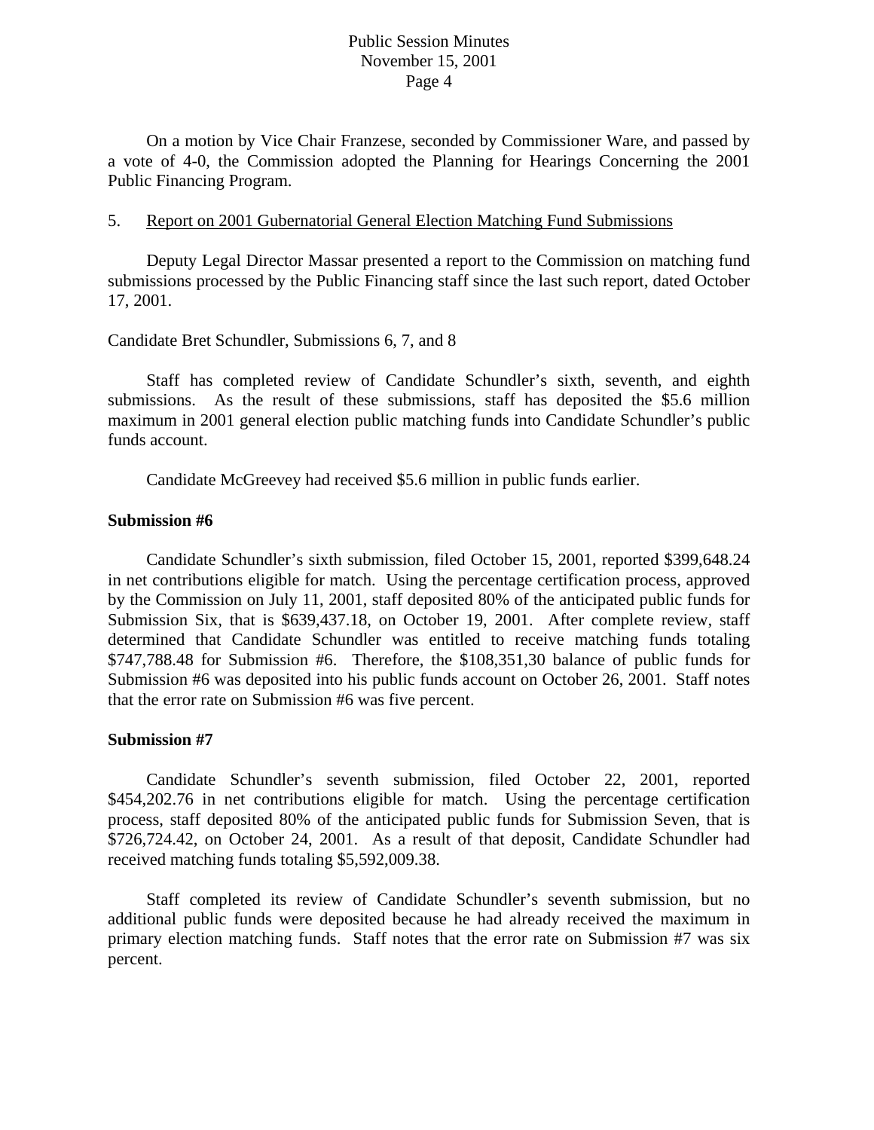On a motion by Vice Chair Franzese, seconded by Commissioner Ware, and passed by a vote of 4-0, the Commission adopted the Planning for Hearings Concerning the 2001 Public Financing Program.

#### 5. Report on 2001 Gubernatorial General Election Matching Fund Submissions

 Deputy Legal Director Massar presented a report to the Commission on matching fund submissions processed by the Public Financing staff since the last such report, dated October 17, 2001.

## Candidate Bret Schundler, Submissions 6, 7, and 8

 Staff has completed review of Candidate Schundler's sixth, seventh, and eighth submissions. As the result of these submissions, staff has deposited the \$5.6 million maximum in 2001 general election public matching funds into Candidate Schundler's public funds account.

Candidate McGreevey had received \$5.6 million in public funds earlier.

#### **Submission #6**

 Candidate Schundler's sixth submission, filed October 15, 2001, reported \$399,648.24 in net contributions eligible for match. Using the percentage certification process, approved by the Commission on July 11, 2001, staff deposited 80% of the anticipated public funds for Submission Six, that is \$639,437.18, on October 19, 2001. After complete review, staff determined that Candidate Schundler was entitled to receive matching funds totaling \$747,788.48 for Submission #6. Therefore, the \$108,351,30 balance of public funds for Submission #6 was deposited into his public funds account on October 26, 2001. Staff notes that the error rate on Submission #6 was five percent.

### **Submission #7**

 Candidate Schundler's seventh submission, filed October 22, 2001, reported \$454,202.76 in net contributions eligible for match. Using the percentage certification process, staff deposited 80% of the anticipated public funds for Submission Seven, that is \$726,724.42, on October 24, 2001. As a result of that deposit, Candidate Schundler had received matching funds totaling \$5,592,009.38.

 Staff completed its review of Candidate Schundler's seventh submission, but no additional public funds were deposited because he had already received the maximum in primary election matching funds. Staff notes that the error rate on Submission #7 was six percent.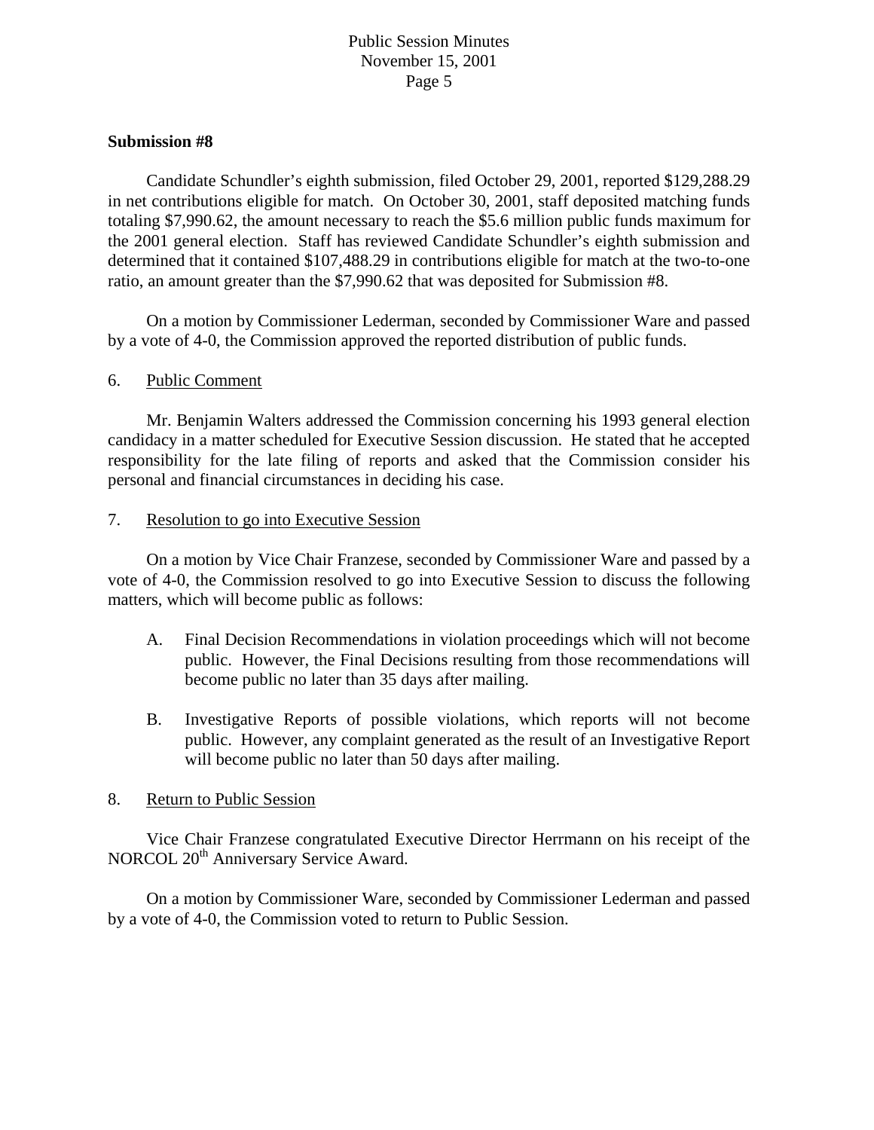### **Submission #8**

 Candidate Schundler's eighth submission, filed October 29, 2001, reported \$129,288.29 in net contributions eligible for match. On October 30, 2001, staff deposited matching funds totaling \$7,990.62, the amount necessary to reach the \$5.6 million public funds maximum for the 2001 general election. Staff has reviewed Candidate Schundler's eighth submission and determined that it contained \$107,488.29 in contributions eligible for match at the two-to-one ratio, an amount greater than the \$7,990.62 that was deposited for Submission #8.

 On a motion by Commissioner Lederman, seconded by Commissioner Ware and passed by a vote of 4-0, the Commission approved the reported distribution of public funds.

#### 6. Public Comment

Mr. Benjamin Walters addressed the Commission concerning his 1993 general election candidacy in a matter scheduled for Executive Session discussion. He stated that he accepted responsibility for the late filing of reports and asked that the Commission consider his personal and financial circumstances in deciding his case.

#### 7. Resolution to go into Executive Session

 On a motion by Vice Chair Franzese, seconded by Commissioner Ware and passed by a vote of 4-0, the Commission resolved to go into Executive Session to discuss the following matters, which will become public as follows:

- A. Final Decision Recommendations in violation proceedings which will not become public. However, the Final Decisions resulting from those recommendations will become public no later than 35 days after mailing.
- B. Investigative Reports of possible violations, which reports will not become public. However, any complaint generated as the result of an Investigative Report will become public no later than 50 days after mailing.

## 8. Return to Public Session

 Vice Chair Franzese congratulated Executive Director Herrmann on his receipt of the NORCOL 20<sup>th</sup> Anniversary Service Award.

On a motion by Commissioner Ware, seconded by Commissioner Lederman and passed by a vote of 4-0, the Commission voted to return to Public Session.